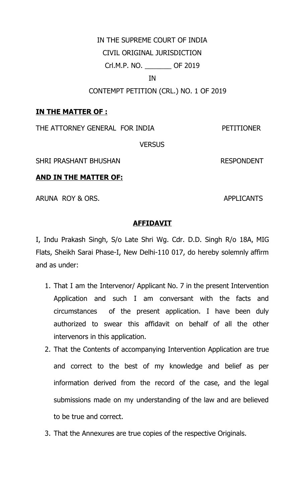#### IN THE SUPREME COURT OF INDIA

CIVIL ORIGINAL JURISDICTION

Crl.M.P. NO. \_\_\_\_\_\_\_ OF 2019

IN

CONTEMPT PETITION (CRL.) NO. 1 OF 2019

## **IN THE MATTER OF :**

THE ATTORNEY GENERAL FOR INDIA PETITIONER

**VERSUS** 

SHRI PRASHANT BHUSHAN RESPONDENT

#### **AND IN THE MATTER OF:**

ARUNA ROY & ORS. APPLICANTS

#### **AFFIDAVIT**

I, Indu Prakash Singh, S/o Late Shri Wg. Cdr. D.D. Singh R/o 18A, MIG Flats, Sheikh Sarai Phase-I, New Delhi-110 017, do hereby solemnly affirm and as under:

- 1. That I am the Intervenor/ Applicant No. 7 in the present Intervention Application and such I am conversant with the facts and circumstances of the present application. I have been duly authorized to swear this affidavit on behalf of all the other intervenors in this application.
- 2. That the Contents of accompanying Intervention Application are true and correct to the best of my knowledge and belief as per information derived from the record of the case, and the legal submissions made on my understanding of the law and are believed to be true and correct.
- 3. That the Annexures are true copies of the respective Originals.